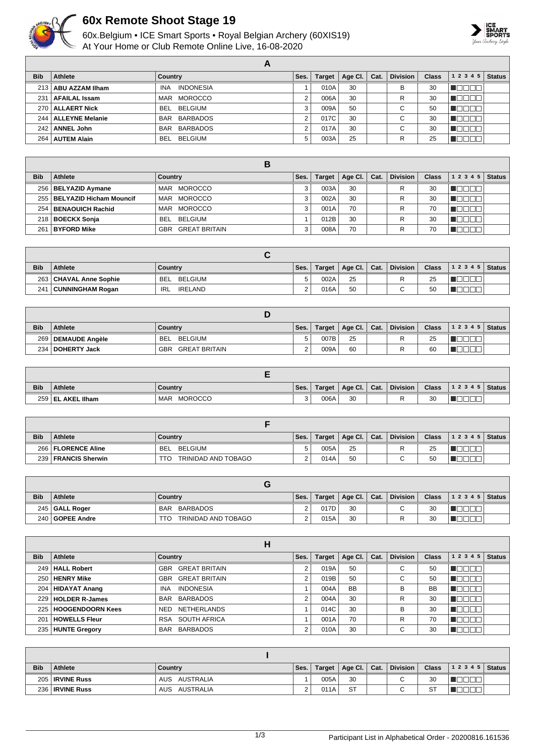

## **60x Remote Shoot Stage 19**

60x.Belgium • ICE Smart Sports • Royal Belgian Archery (60XIS19) At Your Home or Club Remote Online Live, 16-08-2020



|            |                        | Ē                              |      |        |         |      |                               |       |           |        |
|------------|------------------------|--------------------------------|------|--------|---------|------|-------------------------------|-------|-----------|--------|
| <b>Bib</b> | Athlete                | Country                        | Ses. | Target | Age Cl. | Cat. | <b>Division</b>               | Class | 1 2 3 4 5 | Status |
|            | 213   ABU AZZAM Ilham  | <b>INDONESIA</b><br><b>INA</b> |      | 010A   | 30      |      | В                             | 30    |           |        |
| 231        | <b>AFAILAL Issam</b>   | <b>MOROCCO</b><br>MAR          | ◠    | 006A   | 30      |      | R                             | 30    |           |        |
| 270        | <b>ALLAERT Nick</b>    | <b>BEL</b><br>BELGIUM          | 3    | 009A   | 50      |      | ⌒<br>◡                        | 50    |           |        |
| 244        | <b>ALLEYNE Melanie</b> | BARBADOS<br><b>BAR</b>         | c    | 017C   | 30      |      | $\overline{\phantom{0}}$<br>◡ | 30    |           |        |
| 242        | <b>ANNEL John</b>      | <b>BARBADOS</b><br><b>BAR</b>  | c    | 017A   | 30      |      | $\overline{\phantom{0}}$<br>◡ | 30    |           |        |
| 264        | <b>AUTEM Alain</b>     | BELGIUM<br><b>BEL</b>          | 5    | 003A   | 25      |      | D                             | 25    |           |        |

|            |                               | в                           |      |        |                 |      |          |              |           |               |
|------------|-------------------------------|-----------------------------|------|--------|-----------------|------|----------|--------------|-----------|---------------|
| <b>Bib</b> | <b>Athlete</b>                | Country                     | Ses. | Target | Age Cl. $\vert$ | Cat. | Division | <b>Class</b> | 1 2 3 4 5 | <b>Status</b> |
|            | 256   BELYAZID Aymane         | MAR MOROCCO                 |      | 003A   | 30              |      | R        | 30           |           |               |
|            | 255   BELYAZID Hicham Mouncif | <b>MOROCCO</b><br>MAR       |      | 002A   | 30              |      | R        | 30           |           |               |
|            | 254   BENAOUICH Rachid        | MAR MOROCCO                 |      | 001A   | 70              |      | R        | 70           |           |               |
|            | 218   BOECKX Sonja            | BELGIUM<br><b>BEL</b>       |      | 012B   | 30              |      | R        | 30           |           |               |
| 261        | <b>BYFORD Mike</b>            | <b>GREAT BRITAIN</b><br>GBR |      | 008A   | 70              |      | R        | 70           |           |               |

| <b>Bib</b> | <b>Athlete</b>           | Country               | Ses. | <b>Target</b> | $\vert$ Age Cl. $\vert$ Cat. | <b>Division</b> | <b>Class</b> | 12345 | Status |
|------------|--------------------------|-----------------------|------|---------------|------------------------------|-----------------|--------------|-------|--------|
|            | 263   CHAVAL Anne Sophie | BELGIUM<br><b>BEL</b> | 5    | 002A          | 25                           | R               | 25           |       |        |
| 241        | CUNNINGHAM Rogan         | <b>IRELAND</b><br>IRL | ▃    | 016A          | 50                           | $\sim$          | 50           |       |        |

| <b>Bib</b> | <b>Athlete</b>       | Country               | Ses. | Target | Age Cl. $\vert$ Cat. | <b>Division</b> | <b>Class</b> | 1 2 3 4 5 | <b>Status</b> |
|------------|----------------------|-----------------------|------|--------|----------------------|-----------------|--------------|-----------|---------------|
|            | 269   DEMAUDE Angèle | BELGIUM<br><b>BEL</b> |      | 007B   | 25                   | D               | 25           |           |               |
|            | 234   DOHERTY Jack   | GREAT BRITAIN<br>GBR  |      | 009A   | 60                   |                 | 60           |           |               |

| <b>Bib</b> | <b>Athlete</b>    | Country                      | Ses.           | Target | Age Cl. $\vert$ Cat. | <b>Division</b> | <b>Class</b> | 1 2 3 4 5   Status |  |
|------------|-------------------|------------------------------|----------------|--------|----------------------|-----------------|--------------|--------------------|--|
|            | 259 EL AKEL IIham | <b>MOROCCO</b><br><b>MAR</b> | $\sqrt{2}$<br> | 006A   | 30                   |                 | 30           |                    |  |

| <b>Bib</b> | <b>Athlete</b>        | Country                    | Ses. | <b>Target</b> | Age Cl.   Cat. | <b>Division</b> | <b>Class</b> | $ 12345 $ Status |  |
|------------|-----------------------|----------------------------|------|---------------|----------------|-----------------|--------------|------------------|--|
|            | 266   FLORENCE Aline  | BELGIUM<br><b>BEL</b>      |      | 005A          | 25             |                 | 25           |                  |  |
|            | 239   FRANCIS Sherwin | TRINIDAD AND TOBAGO<br>TTC |      | 014A          | 50             |                 | 50           |                  |  |

| <b>Bib</b> | Athlete         | Country                    | Ses.     | Target | Age Cl. | Cat. | <b>Division</b> | <b>Class</b> | 1 2 3 4 5   Status |  |
|------------|-----------------|----------------------------|----------|--------|---------|------|-----------------|--------------|--------------------|--|
|            | 245 GALL Roger  | BARBADOS<br><b>BAR</b>     | <u>.</u> | 017D   | 30      |      | $\sim$<br>ັ     | 30           |                    |  |
|            | 240 GOPEE Andre | TRINIDAD AND TOBAGO<br>TTO | ∸        | 015A   | 30      |      |                 | 30           |                    |  |

|            |                        | н                                  |      |               |           |      |                 |              |           |               |
|------------|------------------------|------------------------------------|------|---------------|-----------|------|-----------------|--------------|-----------|---------------|
| <b>Bib</b> | Athlete                | Country                            | Ses. | <b>Target</b> | Age CI.   | Cat. | <b>Division</b> | <b>Class</b> | 1 2 3 4 5 | <b>Status</b> |
|            | 249   HALL Robert      | <b>GREAT BRITAIN</b><br><b>GBR</b> |      | 019A          | 50        |      | ⌒<br>U          | 50           |           |               |
|            | 250   HENRY Mike       | <b>GBR GREAT BRITAIN</b>           |      | 019B          | 50        |      | С               | 50           |           |               |
|            | 204   HIDAYAT Anang    | <b>INDONESIA</b><br><b>INA</b>     |      | 004A          | <b>BB</b> |      | B               | <b>BB</b>    |           |               |
|            | 229   HOLDER R-James   | BARBADOS<br>BAR                    | ີ    | 004A          | 30        |      | R               | 30           |           |               |
|            | 225   HOOGENDOORN Kees | NED NETHERLANDS                    |      | 014C          | 30        |      | B               | 30           |           |               |
| 201        | <b>HOWELLS Fleur</b>   | RSA SOUTH AFRICA                   |      | 001A          | 70        |      | R               | 70           |           |               |
|            | 235   HUNTE Gregory    | BARBADOS<br>BAR                    | ີ    | 010A          | 30        |      | С               | 30           |           |               |

| <b>Bib</b> | <b>Athlete</b>    | Country       | Ses. | Target | Age Cl.   Cat. | <b>Division</b> | <b>Class</b> | $12345$ Status |  |
|------------|-------------------|---------------|------|--------|----------------|-----------------|--------------|----------------|--|
|            | 205   IRVINE Russ | AUS AUSTRALIA |      | 005A   | 30             | $\sim$<br>u     | 30           |                |  |
|            | 236   IRVINE Russ | AUS AUSTRALIA |      | 011A   | <b>ST</b>      | $\sim$          | -ST          |                |  |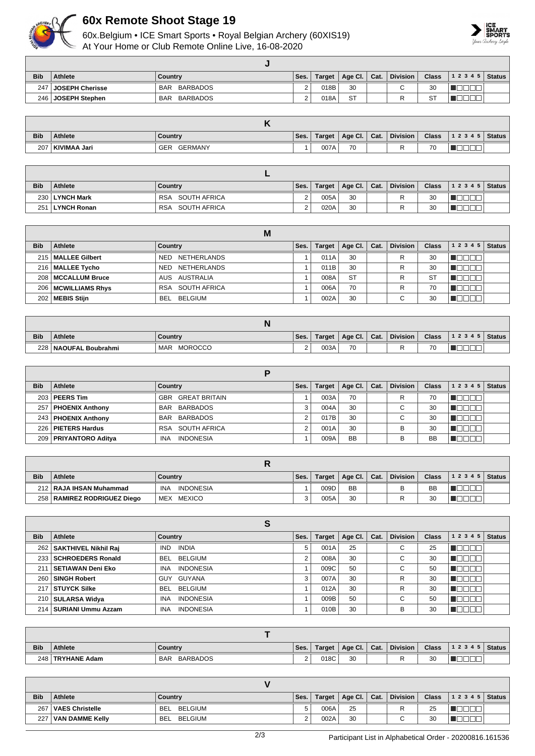

## **60x Remote Shoot Stage 19**

60x.Belgium • ICE Smart Sports • Royal Belgian Archery (60XIS19) At Your Home or Club Remote Online Live, 16-08-2020



| <b>Bib</b> | <b>Athlete</b>     | Country                       | Ses. | Target | Age Cl. $ $ | Cat. | <b>Division</b> | <b>Class</b> | $12345$ Status |  |
|------------|--------------------|-------------------------------|------|--------|-------------|------|-----------------|--------------|----------------|--|
| 247        | JOSEPH Cherisse    | <b>BARBADOS</b><br><b>BAR</b> |      | 018B   | 30          |      | $\sim$<br>ັ     | 30           |                |  |
|            | 246 JOSEPH Stephen | BARBADOS<br><b>BAR</b>        |      | 018A   | <b>ST</b>   |      |                 | ST           |                |  |

| <b>Bib</b> | <b>Athlete</b> | Country               | Ses. | Target | Age CI. | Cat. | <b>Division</b> | <b>Class</b>                   | 1 2 3 4 5<br><b>Status</b> |
|------------|----------------|-----------------------|------|--------|---------|------|-----------------|--------------------------------|----------------------------|
| 207        | KIVIMAA Jari   | GERMANY<br><b>GER</b> |      | 007A   | 70      |      |                 | $\overline{\phantom{a}}$<br>70 |                            |

| <b>Bib</b> | Athlete        | Country                    | Ses. | Target | Age Cl. $ $ | Cat. | <b>Division</b> | <b>Class</b> | $12345$ Status |  |
|------------|----------------|----------------------------|------|--------|-------------|------|-----------------|--------------|----------------|--|
|            | 230 LYNCH Mark | SOUTH AFRICA<br><b>RSA</b> |      | 005A   | 30          |      |                 | 30           |                |  |
| 251        | LYNCH Ronan    | SOUTH AFRICA<br><b>RSA</b> |      | 020A   | 30          |      |                 | 30           |                |  |

|            | M                     |                       |      |               |                 |      |                 |              |           |               |  |  |
|------------|-----------------------|-----------------------|------|---------------|-----------------|------|-----------------|--------------|-----------|---------------|--|--|
| <b>Bib</b> | Athlete               | Country               | Ses. | <b>Target</b> | Age Cl. $\vert$ | Cat. | <b>Division</b> | <b>Class</b> | 1 2 3 4 5 | <b>Status</b> |  |  |
|            | 215   MALLEE Gilbert  | NETHERLANDS<br>NED    |      | 011A          | 30              |      | R               | 30           |           |               |  |  |
|            | 216   MALLEE Tycho    | NETHERLANDS<br>NED    |      | 011B          | 30              |      | R               | 30           |           |               |  |  |
|            | 208   MCCALLUM Bruce  | AUS AUSTRALIA         |      | 008A          | <b>ST</b>       |      | R               | ST           |           |               |  |  |
|            | 206   MCWILLIAMS Rhys | SOUTH AFRICA<br>RSA   |      | 006A          | 70              |      | R               | 70           |           |               |  |  |
|            | 202 MEBIS Stijn       | BELGIUM<br><b>BEL</b> |      | 002A          | 30              |      | $\sim$          | 30           |           |               |  |  |

| <b>Bib</b> | <b>Athlete</b>          | Country                      | Ses.   | Target | Age Cl. $\vert$ Cat. |  | <b>Division</b> | <b>Class</b> | 12345 | Status . |
|------------|-------------------------|------------------------------|--------|--------|----------------------|--|-----------------|--------------|-------|----------|
|            | 228   NAOUFAL Boubrahmi | <b>MOROCCO</b><br><b>MAR</b> | $\sim$ | 003A   | 70                   |  | -               | 70           |       |          |

| <b>Bib</b> | Athlete                 | Country                        | Ses. | <b>Target</b> | Age Cl. $ $ | Cat. | <b>Division</b> | <b>Class</b> | 1 2 3 4 5 | <b>Status</b> |  |  |
|------------|-------------------------|--------------------------------|------|---------------|-------------|------|-----------------|--------------|-----------|---------------|--|--|
|            | $203$ PEERS Tim         | <b>GBR GREAT BRITAIN</b>       |      | 003A          | 70          |      | R               | 70           |           |               |  |  |
| 257        | I PHOENIX Anthony       | BAR BARBADOS                   |      | 004A          | 30          |      | С               | 30           |           |               |  |  |
|            | 243   PHOENIX Anthony   | BAR BARBADOS                   |      | 017B          | 30          |      | $\sim$<br>◡     | 30           |           |               |  |  |
|            | 226   PIETERS Hardus    | RSA SOUTH AFRICA               |      | 001A          | 30          |      |                 | 30           |           |               |  |  |
|            | 209   PRIYANTORO Aditya | <b>INDONESIA</b><br><b>INA</b> |      | 009A          | <b>BB</b>   |      | B               | BB           |           |               |  |  |

| <b>Bib</b> | <b>Athlete</b>                 | Country                        | Ses. | Target | Age Cl. $ $ | Cat. | <b>Division</b> | <b>Class</b> | $12345$ Status |  |  |  |
|------------|--------------------------------|--------------------------------|------|--------|-------------|------|-----------------|--------------|----------------|--|--|--|
|            | 212 RAJA IHSAN Muhammad        | <b>INDONESIA</b><br><b>INA</b> |      | 009D   | <b>BB</b>   |      |                 | BB           |                |  |  |  |
| 258        | <b>RAMIREZ RODRIGUEZ Diego</b> | <b>MEXICO</b><br>MEX           |      | 005A   | 30          |      |                 | 30           |                |  |  |  |

|            | S                          |                                |      |               |         |      |                 |              |                            |  |  |  |
|------------|----------------------------|--------------------------------|------|---------------|---------|------|-----------------|--------------|----------------------------|--|--|--|
| <b>Bib</b> | Athlete                    | Country                        | Ses. | <b>Target</b> | Age CI. | Cat. | <b>Division</b> | <b>Class</b> | <b>Status</b><br>1 2 3 4 5 |  |  |  |
|            | 262   SAKTHIVEL Nikhil Raj | <b>INDIA</b><br>IND.           | 5    | 001A          | 25      |      | $\sim$<br>U     | 25           |                            |  |  |  |
|            | 233   SCHROEDERS Ronald    | <b>BELGIUM</b><br><b>BEL</b>   | 2    | 008A          | 30      |      | $\sim$<br>U     | 30           |                            |  |  |  |
| 211        | SETIAWAN Deni Eko          | <b>INDONESIA</b><br><b>INA</b> |      | 009C          | 50      |      | ⌒<br>◡          | 50           |                            |  |  |  |
| 260        | <b>SINGH Robert</b>        | GUY GUYANA                     | 3    | 007A          | 30      |      | R               | 30           |                            |  |  |  |
|            | 217   STUYCK Silke         | <b>BELGIUM</b><br><b>BEL</b>   |      | 012A          | 30      |      | R               | 30           |                            |  |  |  |
|            | 210   SULARSA Widya        | <b>INDONESIA</b><br><b>INA</b> |      | 009B          | 50      |      | С               | 50           |                            |  |  |  |
|            | 214   SURIANI Ummu Azzam   | <b>INDONESIA</b><br><b>INA</b> |      | 010B          | 30      |      | B               | 30           |                            |  |  |  |

| <b>Bib</b> | <b>Athlete</b>     | Country                | Ses.               | Target | Age Cl. | Cat. | <b>Division</b> | <b>Class</b> | 12345 | Status |
|------------|--------------------|------------------------|--------------------|--------|---------|------|-----------------|--------------|-------|--------|
|            | 248   TRYHANE Adam | BARBADOS<br><b>BAR</b> | $\sim$<br><u>.</u> | 018C   | 30      |      | ₽<br>$\cdots$   | 30           |       |        |

| <b>Bib</b>       | <b>Athlete</b>    | Country               | Ses. | <b>Target</b> | Age Cl. Cat. |  | Division | <b>Class</b> | $ 12345 $ Status |  |  |
|------------------|-------------------|-----------------------|------|---------------|--------------|--|----------|--------------|------------------|--|--|
| 267              | ∣ VAES Christelle | BELGIUM<br><b>BEL</b> |      | 006A          | 25           |  | ר        | 25           |                  |  |  |
| 227 <sub>1</sub> | VAN DAMME Kelly   | BELGIUM<br><b>BEL</b> |      | 002A          | 30           |  | ⌒        | 30           |                  |  |  |